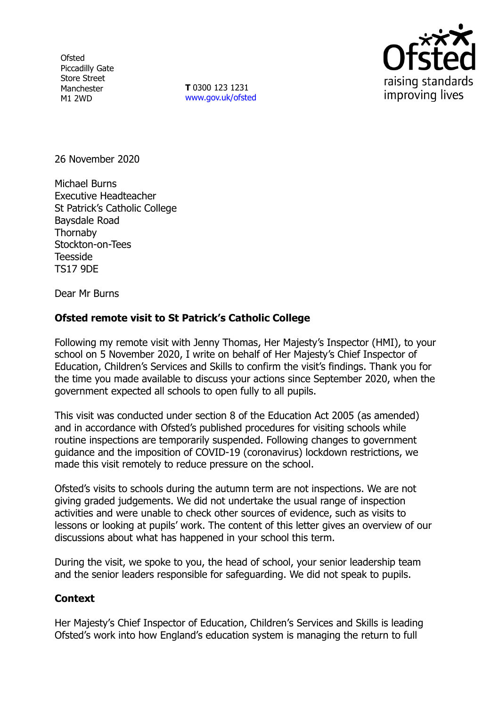**Ofsted** Piccadilly Gate Store Street Manchester M1 2WD

**T** 0300 123 1231 [www.gov.uk/ofsted](http://www.gov.uk/ofsted)



26 November 2020

Michael Burns Executive Headteacher St Patrick's Catholic College Baysdale Road **Thornaby** Stockton-on-Tees Teesside TS17 9DE

Dear Mr Burns

## **Ofsted remote visit to St Patrick's Catholic College**

Following my remote visit with Jenny Thomas, Her Majesty's Inspector (HMI), to your school on 5 November 2020, I write on behalf of Her Majesty's Chief Inspector of Education, Children's Services and Skills to confirm the visit's findings. Thank you for the time you made available to discuss your actions since September 2020, when the government expected all schools to open fully to all pupils.

This visit was conducted under section 8 of the Education Act 2005 (as amended) and in accordance with Ofsted's published procedures for visiting schools while routine inspections are temporarily suspended. Following changes to government guidance and the imposition of COVID-19 (coronavirus) lockdown restrictions, we made this visit remotely to reduce pressure on the school.

Ofsted's visits to schools during the autumn term are not inspections. We are not giving graded judgements. We did not undertake the usual range of inspection activities and were unable to check other sources of evidence, such as visits to lessons or looking at pupils' work. The content of this letter gives an overview of our discussions about what has happened in your school this term.

During the visit, we spoke to you, the head of school, your senior leadership team and the senior leaders responsible for safeguarding. We did not speak to pupils.

## **Context**

Her Majesty's Chief Inspector of Education, Children's Services and Skills is leading Ofsted's work into how England's education system is managing the return to full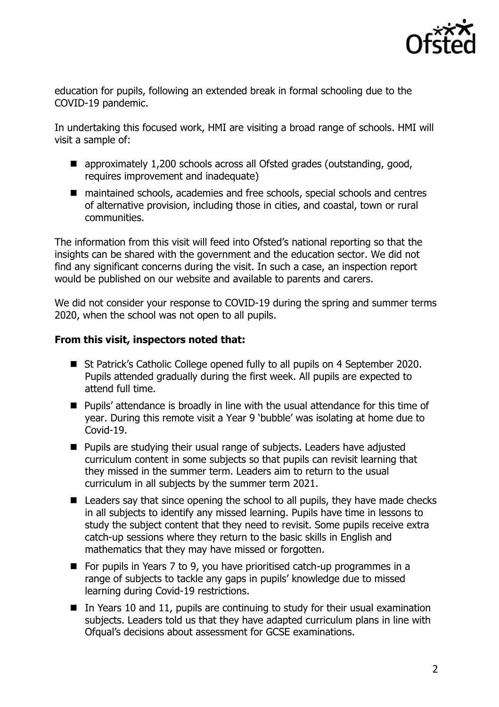

education for pupils, following an extended break in formal schooling due to the COVID-19 pandemic.

In undertaking this focused work, HMI are visiting a broad range of schools. HMI will visit a sample of:

- approximately 1,200 schools across all Ofsted grades (outstanding, good, requires improvement and inadequate)
- maintained schools, academies and free schools, special schools and centres of alternative provision, including those in cities, and coastal, town or rural communities.

The information from this visit will feed into Ofsted's national reporting so that the insights can be shared with the government and the education sector. We did not find any significant concerns during the visit. In such a case, an inspection report would be published on our website and available to parents and carers.

We did not consider your response to COVID-19 during the spring and summer terms 2020, when the school was not open to all pupils.

## **From this visit, inspectors noted that:**

- St Patrick's Catholic College opened fully to all pupils on 4 September 2020. Pupils attended gradually during the first week. All pupils are expected to attend full time.
- Pupils' attendance is broadly in line with the usual attendance for this time of year. During this remote visit a Year 9 'bubble' was isolating at home due to Covid-19.
- Pupils are studying their usual range of subjects. Leaders have adjusted curriculum content in some subjects so that pupils can revisit learning that they missed in the summer term. Leaders aim to return to the usual curriculum in all subjects by the summer term 2021.
- Leaders say that since opening the school to all pupils, they have made checks in all subjects to identify any missed learning. Pupils have time in lessons to study the subject content that they need to revisit. Some pupils receive extra catch-up sessions where they return to the basic skills in English and mathematics that they may have missed or forgotten.
- For pupils in Years 7 to 9, you have prioritised catch-up programmes in a range of subjects to tackle any gaps in pupils' knowledge due to missed learning during Covid-19 restrictions.
- In Years 10 and 11, pupils are continuing to study for their usual examination subjects. Leaders told us that they have adapted curriculum plans in line with Ofqual's decisions about assessment for GCSE examinations.